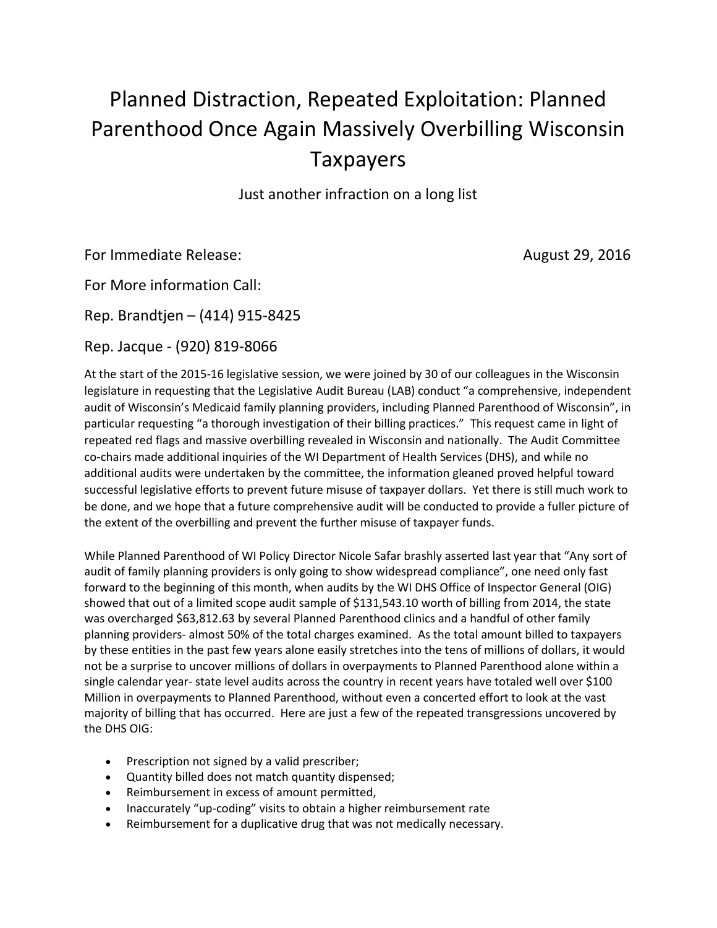## Planned Distraction, Repeated Exploitation: Planned Parenthood Once Again Massively Overbilling Wisconsin Taxpayers

Just another infraction on a long list

For Immediate Release: August 29, 2016

For More information Call:

Rep. Brandtjen – (414) 915-8425

Rep. Jacque - (920) 819-8066

At the start of the 2015-16 legislative session, we were joined by 30 of our colleagues in the Wisconsin legislature in requesting that the Legislative Audit Bureau (LAB) conduct "a comprehensive, independent audit of Wisconsin's Medicaid family planning providers, including Planned Parenthood of Wisconsin", in particular requesting "a thorough investigation of their billing practices." This request came in light of repeated red flags and massive overbilling revealed in Wisconsin and nationally. The Audit Committee co-chairs made additional inquiries of the WI Department of Health Services (DHS), and while no additional audits were undertaken by the committee, the information gleaned proved helpful toward successful legislative efforts to prevent future misuse of taxpayer dollars. Yet there is still much work to be done, and we hope that a future comprehensive audit will be conducted to provide a fuller picture of the extent of the overbilling and prevent the further misuse of taxpayer funds.

While Planned Parenthood of WI Policy Director Nicole Safar brashly asserted last year that "Any sort of audit of family planning providers is only going to show widespread compliance", one need only fast forward to the beginning of this month, when audits by the WI DHS Office of Inspector General (OIG) showed that out of a limited scope audit sample of \$131,543.10 worth of billing from 2014, the state was overcharged \$63,812.63 by several Planned Parenthood clinics and a handful of other family planning providers- almost 50% of the total charges examined. As the total amount billed to taxpayers by these entities in the past few years alone easily stretches into the tens of millions of dollars, it would not be a surprise to uncover millions of dollars in overpayments to Planned Parenthood alone within a single calendar year- state level audits across the country in recent years have totaled well over \$100 Million in overpayments to Planned Parenthood, without even a concerted effort to look at the vast majority of billing that has occurred. Here are just a few of the repeated transgressions uncovered by the DHS OIG:

- Prescription not signed by a valid prescriber;
- Quantity billed does not match quantity dispensed;
- Reimbursement in excess of amount permitted,
- Inaccurately "up-coding" visits to obtain a higher reimbursement rate
- Reimbursement for a duplicative drug that was not medically necessary.